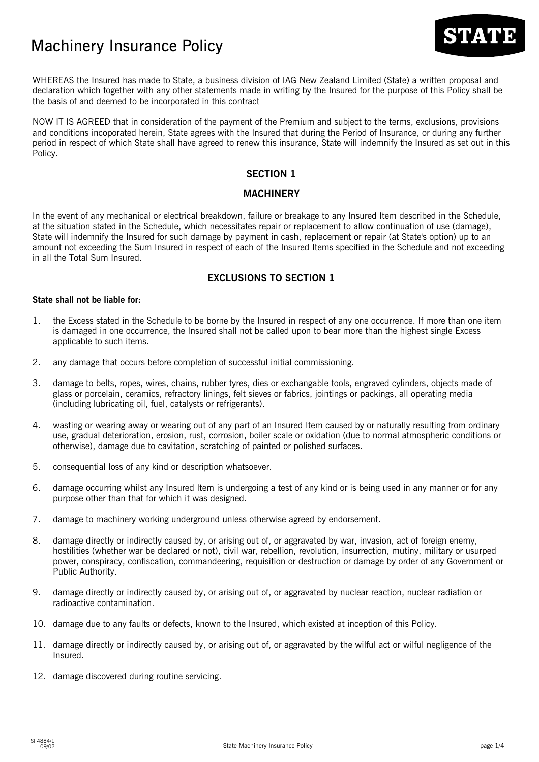# Machinery Insurance Policy



WHEREAS the Insured has made to State, a business division of IAG New Zealand Limited (State) a written proposal and declaration which together with any other statements made in writing by the Insured for the purpose of this Policy shall be the basis of and deemed to be incorporated in this contract

NOW IT IS AGREED that in consideration of the payment of the Premium and subject to the terms, exclusions, provisions and conditions incoporated herein, State agrees with the Insured that during the Period of Insurance, or during any further period in respect of which State shall have agreed to renew this insurance, State will indemnify the Insured as set out in this Policy.

## **SECTION 1**

## **MACHINERY**

In the event of any mechanical or electrical breakdown, failure or breakage to any Insured Item described in the Schedule, at the situation stated in the Schedule, which necessitates repair or replacement to allow continuation of use (damage), State will indemnify the Insured for such damage by payment in cash, replacement or repair (at State's option) up to an amount not exceeding the Sum Insured in respect of each of the Insured Items specified in the Schedule and not exceeding in all the Total Sum Insured.

# **EXCLUSIONS TO SECTION 1**

#### **State shall not be liable for:**

- 1. the Excess stated in the Schedule to be borne by the Insured in respect of any one occurrence. If more than one item is damaged in one occurrence, the Insured shall not be called upon to bear more than the highest single Excess applicable to such items.
- 2. any damage that occurs before completion of successful initial commissioning.
- 3. damage to belts, ropes, wires, chains, rubber tyres, dies or exchangable tools, engraved cylinders, objects made of glass or porcelain, ceramics, refractory linings, felt sieves or fabrics, jointings or packings, all operating media (including lubricating oil, fuel, catalysts or refrigerants).
- 4. wasting or wearing away or wearing out of any part of an Insured Item caused by or naturally resulting from ordinary use, gradual deterioration, erosion, rust, corrosion, boiler scale or oxidation (due to normal atmospheric conditions or otherwise), damage due to cavitation, scratching of painted or polished surfaces.
- 5. consequential loss of any kind or description whatsoever.
- 6. damage occurring whilst any Insured Item is undergoing a test of any kind or is being used in any manner or for any purpose other than that for which it was designed.
- 7. damage to machinery working underground unless otherwise agreed by endorsement.
- 8. damage directly or indirectly caused by, or arising out of, or aggravated by war, invasion, act of foreign enemy, hostilities (whether war be declared or not), civil war, rebellion, revolution, insurrection, mutiny, military or usurped power, conspiracy, confiscation, commandeering, requisition or destruction or damage by order of any Government or Public Authority.
- 9. damage directly or indirectly caused by, or arising out of, or aggravated by nuclear reaction, nuclear radiation or radioactive contamination.
- 10. damage due to any faults or defects, known to the Insured, which existed at inception of this Policy.
- 11. damage directly or indirectly caused by, or arising out of, or aggravated by the wilful act or wilful negligence of the Insured.
- 12. damage discovered during routine servicing.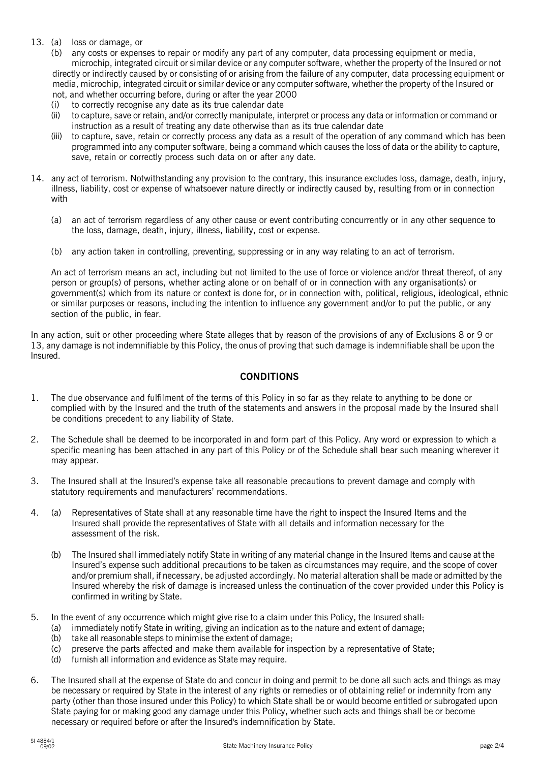#### 13. (a) loss or damage, or

(b) any costs or expenses to repair or modify any part of any computer, data processing equipment or media, microchip, integrated circuit or similar device or any computer software, whether the property of the Insured or not

directly or indirectly caused by or consisting of or arising from the failure of any computer, data processing equipment or media, microchip, integrated circuit or similar device or any computer software, whether the property of the Insured or not, and whether occurring before, during or after the year 2000

- (i) to correctly recognise any date as its true calendar date
- (ii) to capture, save or retain, and/or correctly manipulate, interpret or process any data or information or command or instruction as a result of treating any date otherwise than as its true calendar date
- (iii) to capture, save, retain or correctly process any data as a result of the operation of any command which has been programmed into any computer software, being a command which causes the loss of data or the ability to capture, save, retain or correctly process such data on or after any date.
- 14. any act of terrorism. Notwithstanding any provision to the contrary, this insurance excludes loss, damage, death, injury, illness, liability, cost or expense of whatsoever nature directly or indirectly caused by, resulting from or in connection with
	- (a) an act of terrorism regardless of any other cause or event contributing concurrently or in any other sequence to the loss, damage, death, injury, illness, liability, cost or expense.
	- (b) any action taken in controlling, preventing, suppressing or in any way relating to an act of terrorism.

An act of terrorism means an act, including but not limited to the use of force or violence and/or threat thereof, of any person or group(s) of persons, whether acting alone or on behalf of or in connection with any organisation(s) or government(s) which from its nature or context is done for, or in connection with, political, religious, ideological, ethnic or similar purposes or reasons, including the intention to influence any government and/or to put the public, or any section of the public, in fear.

In any action, suit or other proceeding where State alleges that by reason of the provisions of any of Exclusions 8 or 9 or 13, any damage is not indemnifiable by this Policy, the onus of proving that such damage is indemnifiable shall be upon the Insured.

## **CONDITIONS**

- 1. The due observance and fulfilment of the terms of this Policy in so far as they relate to anything to be done or complied with by the Insured and the truth of the statements and answers in the proposal made by the Insured shall be conditions precedent to any liability of State.
- 2. The Schedule shall be deemed to be incorporated in and form part of this Policy. Any word or expression to which a specific meaning has been attached in any part of this Policy or of the Schedule shall bear such meaning wherever it may appear.
- 3. The Insured shall at the Insured's expense take all reasonable precautions to prevent damage and comply with statutory requirements and manufacturers' recommendations.
- 4. (a) Representatives of State shall at any reasonable time have the right to inspect the Insured Items and the Insured shall provide the representatives of State with all details and information necessary for the assessment of the risk.
	- (b) The Insured shall immediately notify State in writing of any material change in the Insured Items and cause at the Insured's expense such additional precautions to be taken as circumstances may require, and the scope of cover and/or premium shall, if necessary, be adjusted accordingly. No material alteration shall be made or admitted by the Insured whereby the risk of damage is increased unless the continuation of the cover provided under this Policy is confirmed in writing by State.
- 5. In the event of any occurrence which might give rise to a claim under this Policy, the Insured shall:
	- (a) immediately notify State in writing, giving an indication as to the nature and extent of damage;
		- (b) take all reasonable steps to minimise the extent of damage;
		- (c) preserve the parts affected and make them available for inspection by a representative of State;
		- (d) furnish all information and evidence as State may require.
- 6. The Insured shall at the expense of State do and concur in doing and permit to be done all such acts and things as may be necessary or required by State in the interest of any rights or remedies or of obtaining relief or indemnity from any party (other than those insured under this Policy) to which State shall be or would become entitled or subrogated upon State paying for or making good any damage under this Policy, whether such acts and things shall be or become necessary or required before or after the Insured's indemnification by State.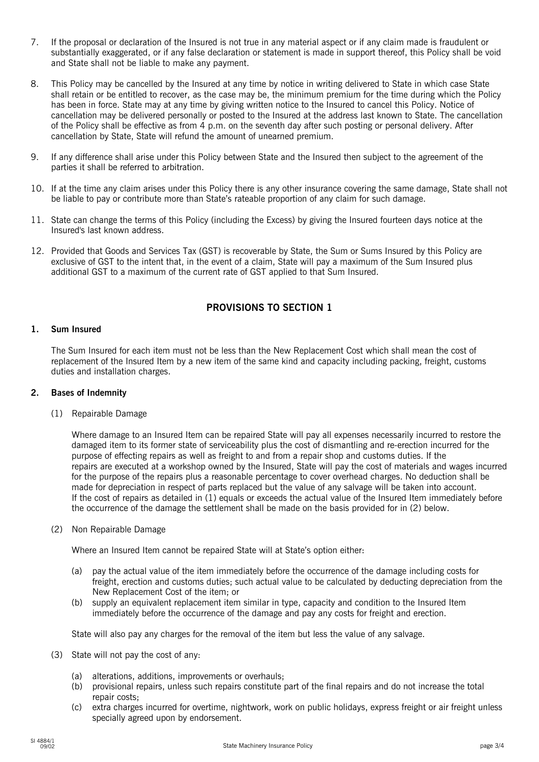- 7. If the proposal or declaration of the Insured is not true in any material aspect or if any claim made is fraudulent or substantially exaggerated, or if any false declaration or statement is made in support thereof, this Policy shall be void and State shall not be liable to make any payment.
- 8. This Policy may be cancelled by the Insured at any time by notice in writing delivered to State in which case State shall retain or be entitled to recover, as the case may be, the minimum premium for the time during which the Policy has been in force. State may at any time by giving written notice to the Insured to cancel this Policy. Notice of cancellation may be delivered personally or posted to the Insured at the address last known to State. The cancellation of the Policy shall be effective as from 4 p.m. on the seventh day after such posting or personal delivery. After cancellation by State, State will refund the amount of unearned premium.
- 9. If any difference shall arise under this Policy between State and the Insured then subject to the agreement of the parties it shall be referred to arbitration.
- 10. If at the time any claim arises under this Policy there is any other insurance covering the same damage, State shall not be liable to pay or contribute more than State's rateable proportion of any claim for such damage.
- 11. State can change the terms of this Policy (including the Excess) by giving the Insured fourteen days notice at the Insured's last known address.
- 12. Provided that Goods and Services Tax (GST) is recoverable by State, the Sum or Sums Insured by this Policy are exclusive of GST to the intent that, in the event of a claim, State will pay a maximum of the Sum Insured plus additional GST to a maximum of the current rate of GST applied to that Sum Insured.

# **PROVISIONS TO SECTION 1**

#### **1. Sum Insured**

The Sum Insured for each item must not be less than the New Replacement Cost which shall mean the cost of replacement of the Insured Item by a new item of the same kind and capacity including packing, freight, customs duties and installation charges.

#### **2. Bases of Indemnity**

(1) Repairable Damage

Where damage to an Insured Item can be repaired State will pay all expenses necessarily incurred to restore the damaged item to its former state of serviceability plus the cost of dismantling and re-erection incurred for the purpose of effecting repairs as well as freight to and from a repair shop and customs duties. If the repairs are executed at a workshop owned by the Insured, State will pay the cost of materials and wages incurred for the purpose of the repairs plus a reasonable percentage to cover overhead charges. No deduction shall be made for depreciation in respect of parts replaced but the value of any salvage will be taken into account. If the cost of repairs as detailed in (1) equals or exceeds the actual value of the Insured Item immediately before the occurrence of the damage the settlement shall be made on the basis provided for in (2) below.

(2) Non Repairable Damage

Where an Insured Item cannot be repaired State will at State's option either:

- (a) pay the actual value of the item immediately before the occurrence of the damage including costs for freight, erection and customs duties; such actual value to be calculated by deducting depreciation from the New Replacement Cost of the item; or
- (b) supply an equivalent replacement item similar in type, capacity and condition to the Insured Item immediately before the occurrence of the damage and pay any costs for freight and erection.

State will also pay any charges for the removal of the item but less the value of any salvage.

- (3) State will not pay the cost of any:
	- (a) alterations, additions, improvements or overhauls;
	- (b) provisional repairs, unless such repairs constitute part of the final repairs and do not increase the total repair costs;
	- (c) extra charges incurred for overtime, nightwork, work on public holidays, express freight or air freight unless specially agreed upon by endorsement.